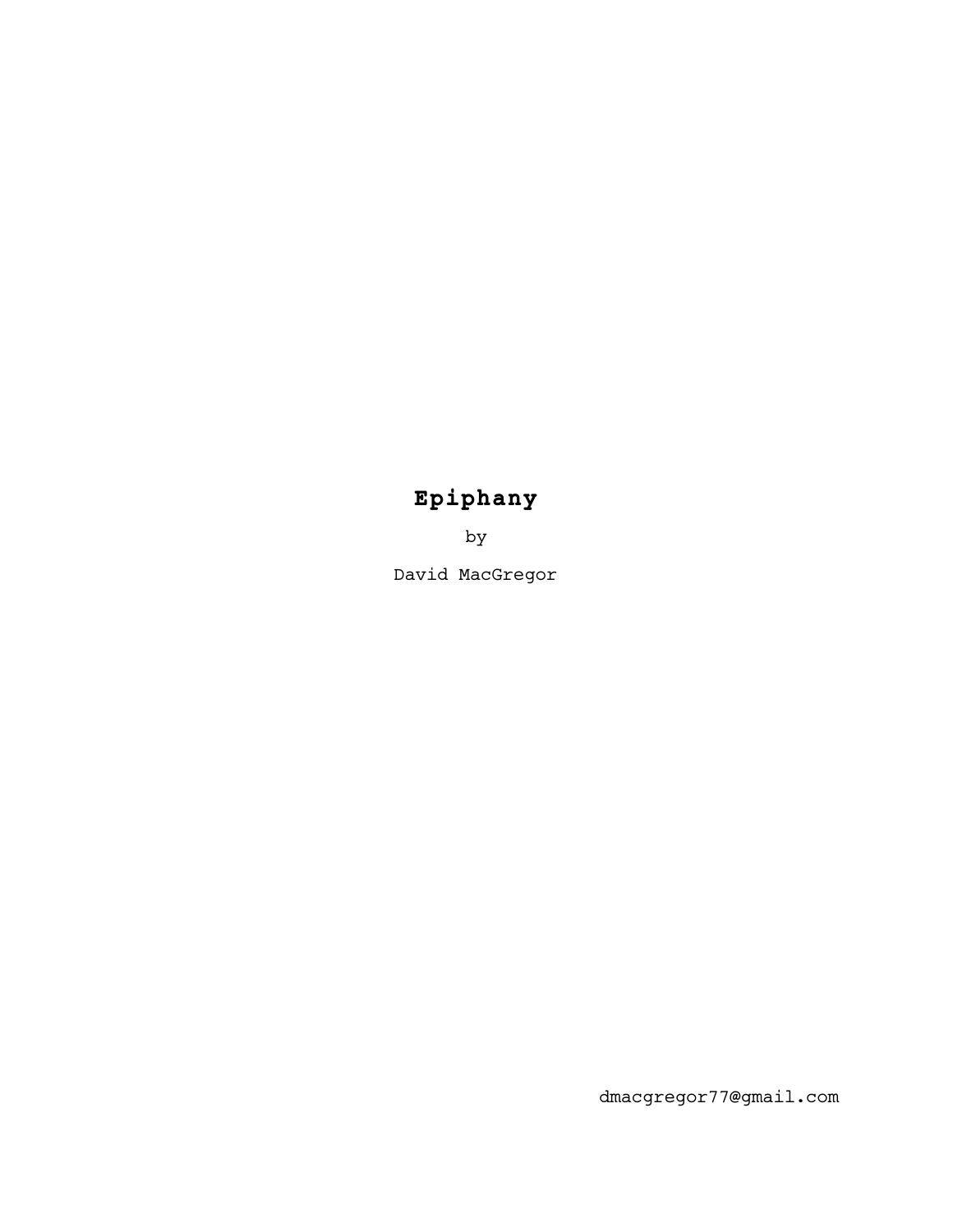# **Epiphany**

by

David MacGregor

dmacgregor77@gmail.com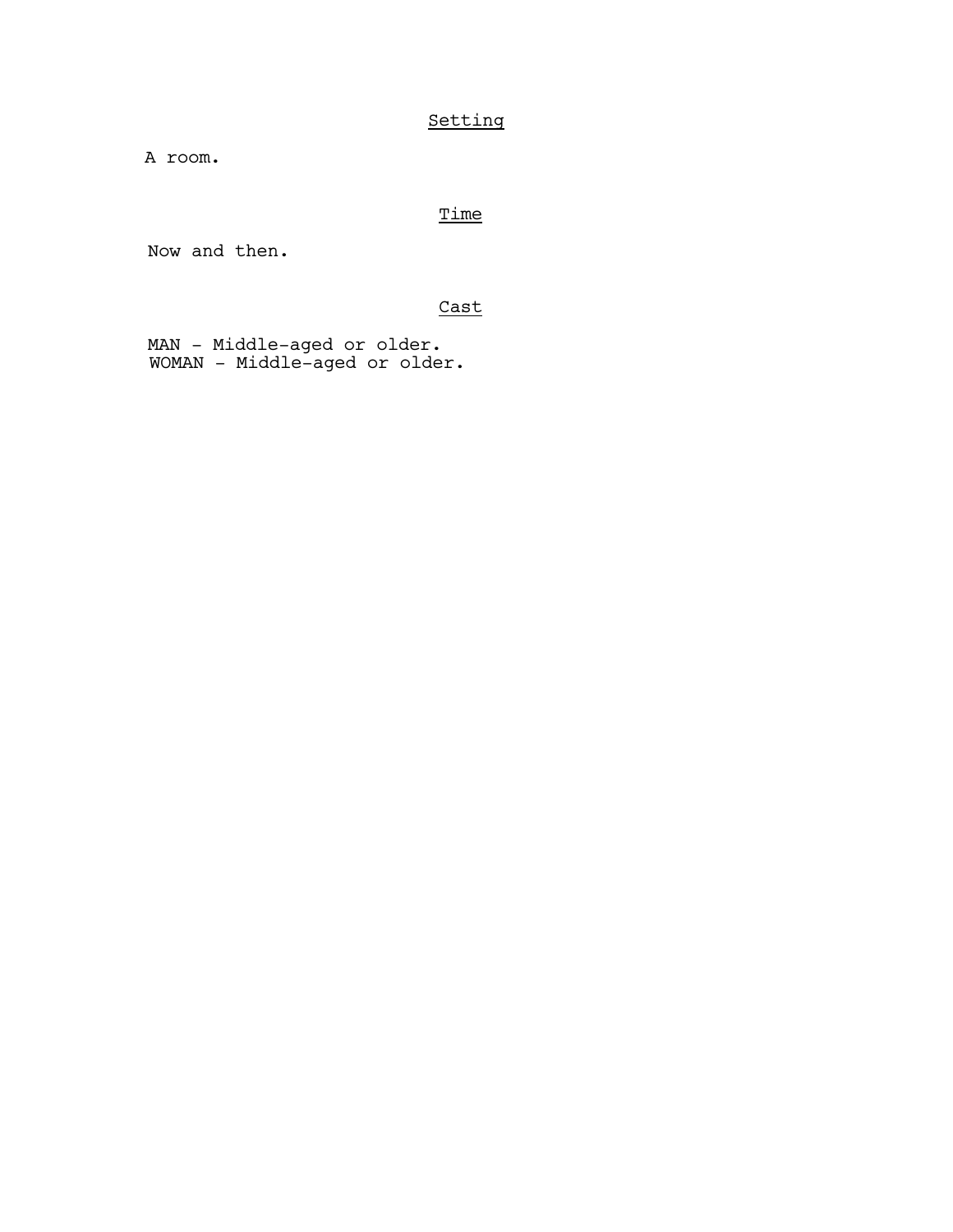# Setting

A room.

# **Time**

Now and then.

# Cast

MAN - Middle-aged or older. WOMAN - Middle-aged or older.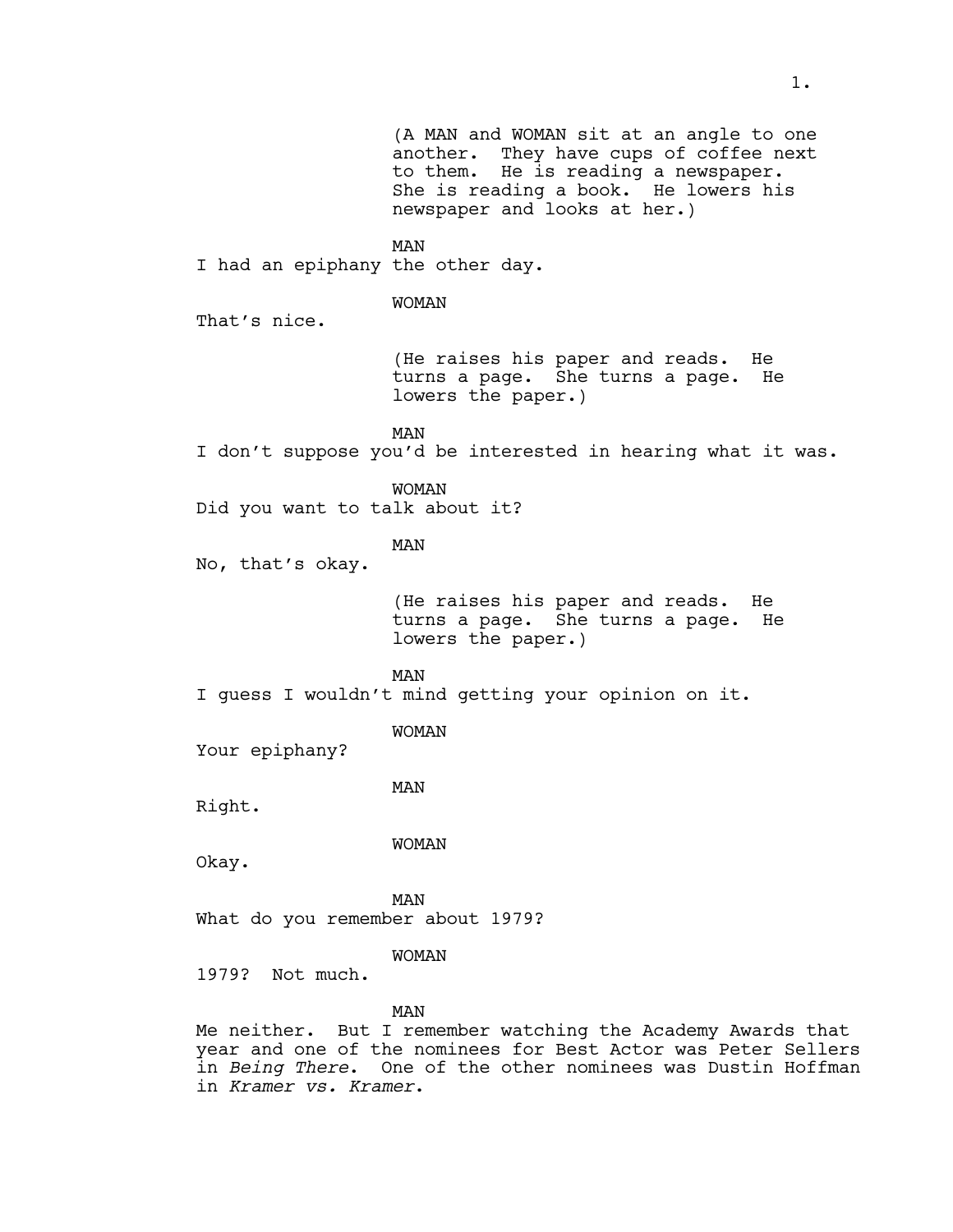(A MAN and WOMAN sit at an angle to one another. They have cups of coffee next to them. He is reading a newspaper. She is reading a book. He lowers his newspaper and looks at her.) MAN I had an epiphany the other day. WOMAN That's nice. (He raises his paper and reads. He turns a page. She turns a page. He lowers the paper.) MAN I don't suppose you'd be interested in hearing what it was. WOMAN Did you want to talk about it? MAN No, that's okay. (He raises his paper and reads. He turns a page. She turns a page. He lowers the paper.) MAN I guess I wouldn't mind getting your opinion on it. WOMAN Your epiphany? MAN Right. WOMAN Okay. MAN What do you remember about 1979? WOMAN 1979? Not much. MAN Me neither. But I remember watching the Academy Awards that year and one of the nominees for Best Actor was Peter Sellers in *Being There*. One of the other nominees was Dustin Hoffman in *Kramer vs. Kramer*.

1.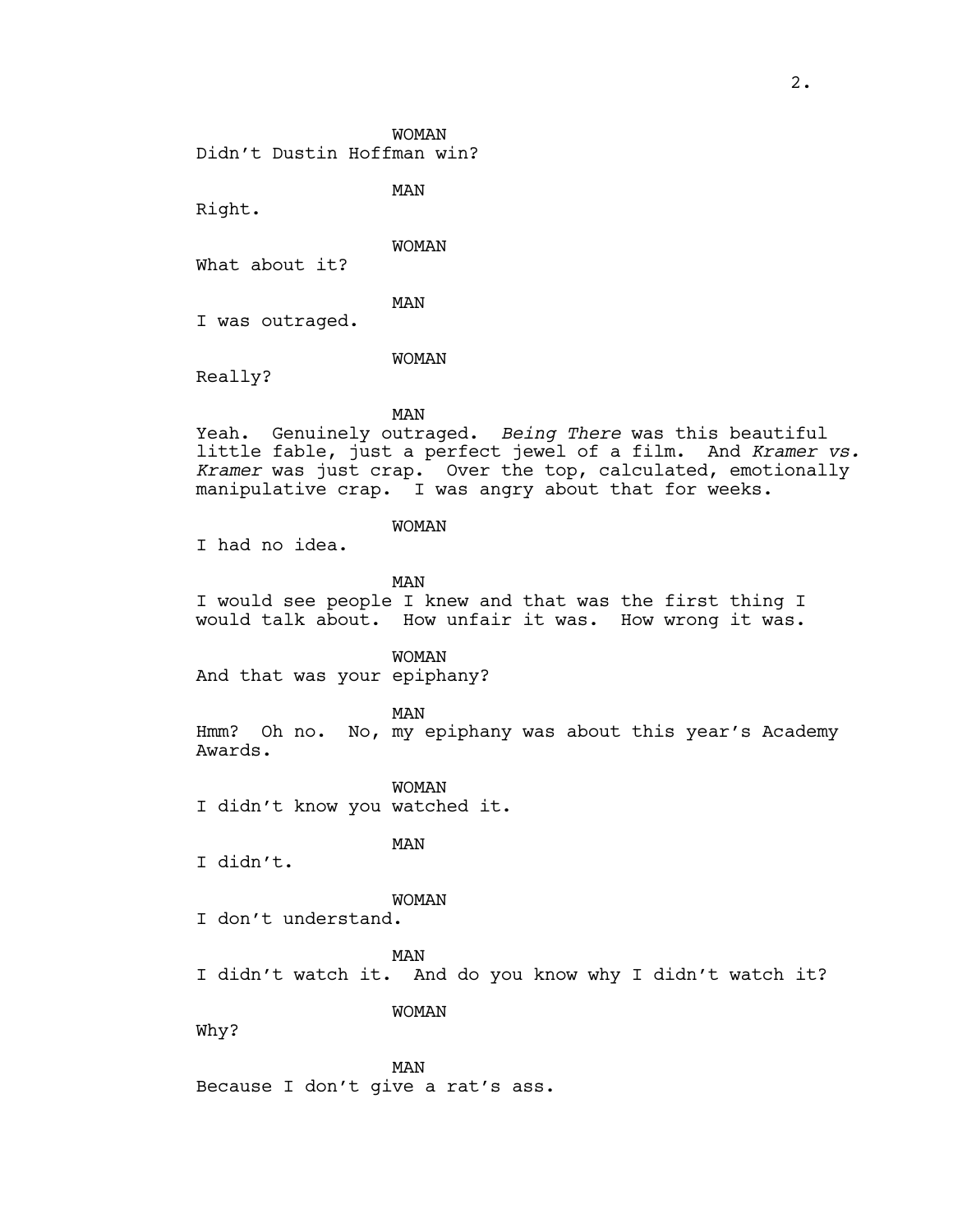WOMAN Didn't Dustin Hoffman win?

MAN

Right.

WOMAN

What about it?

MAN

I was outraged.

WOMAN

Really?

# MAN

Yeah. Genuinely outraged. *Being There* was this beautiful little fable, just a perfect jewel of a film. And *Kramer vs. Kramer* was just crap. Over the top, calculated, emotionally manipulative crap. I was angry about that for weeks.

# WOMAN

I had no idea.

MAN

I would see people I knew and that was the first thing I would talk about. How unfair it was. How wrong it was.

WOMAN

And that was your epiphany?

MAN

Hmm? Oh no. No, my epiphany was about this year's Academy Awards.

WOMAN I didn't know you watched it.

I didn't.

MAN

WOMAN

I don't understand.

MAN

I didn't watch it. And do you know why I didn't watch it?

WOMAN

Why?

MAN Because I don't give a rat's ass.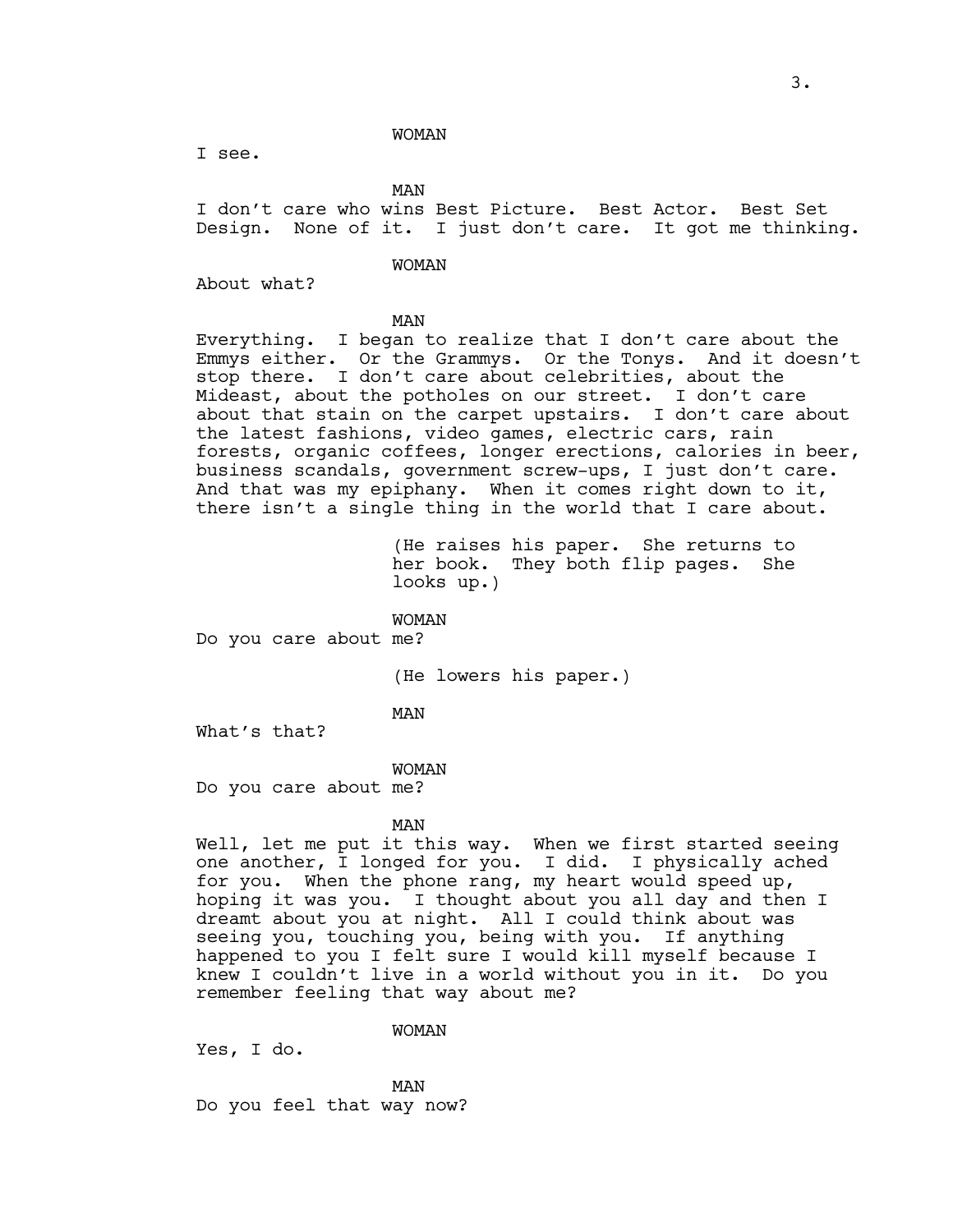#### WOMAN

I see.

MAN

I don't care who wins Best Picture. Best Actor. Best Set Design. None of it. I just don't care. It got me thinking.

### WOMAN

About what?

#### MAN

Everything. I began to realize that I don't care about the Emmys either. Or the Grammys. Or the Tonys. And it doesn't stop there. I don't care about celebrities, about the Mideast, about the potholes on our street. I don't care about that stain on the carpet upstairs. I don't care about the latest fashions, video games, electric cars, rain forests, organic coffees, longer erections, calories in beer, business scandals, government screw-ups, I just don't care. And that was my epiphany. When it comes right down to it, there isn't a single thing in the world that I care about.

> (He raises his paper. She returns to her book. They both flip pages. She looks up.)

WOMAN

Do you care about me?

(He lowers his paper.)

MAN

What's that?

#### WOMAN

Do you care about me?

#### MAN

Well, let me put it this way. When we first started seeing one another, I longed for you. I did. I physically ached for you. When the phone rang, my heart would speed up, hoping it was you. I thought about you all day and then I dreamt about you at night. All I could think about was seeing you, touching you, being with you. If anything happened to you I felt sure I would kill myself because I knew I couldn't live in a world without you in it. Do you remember feeling that way about me?

WOMAN

Yes, I do.

MAN Do you feel that way now?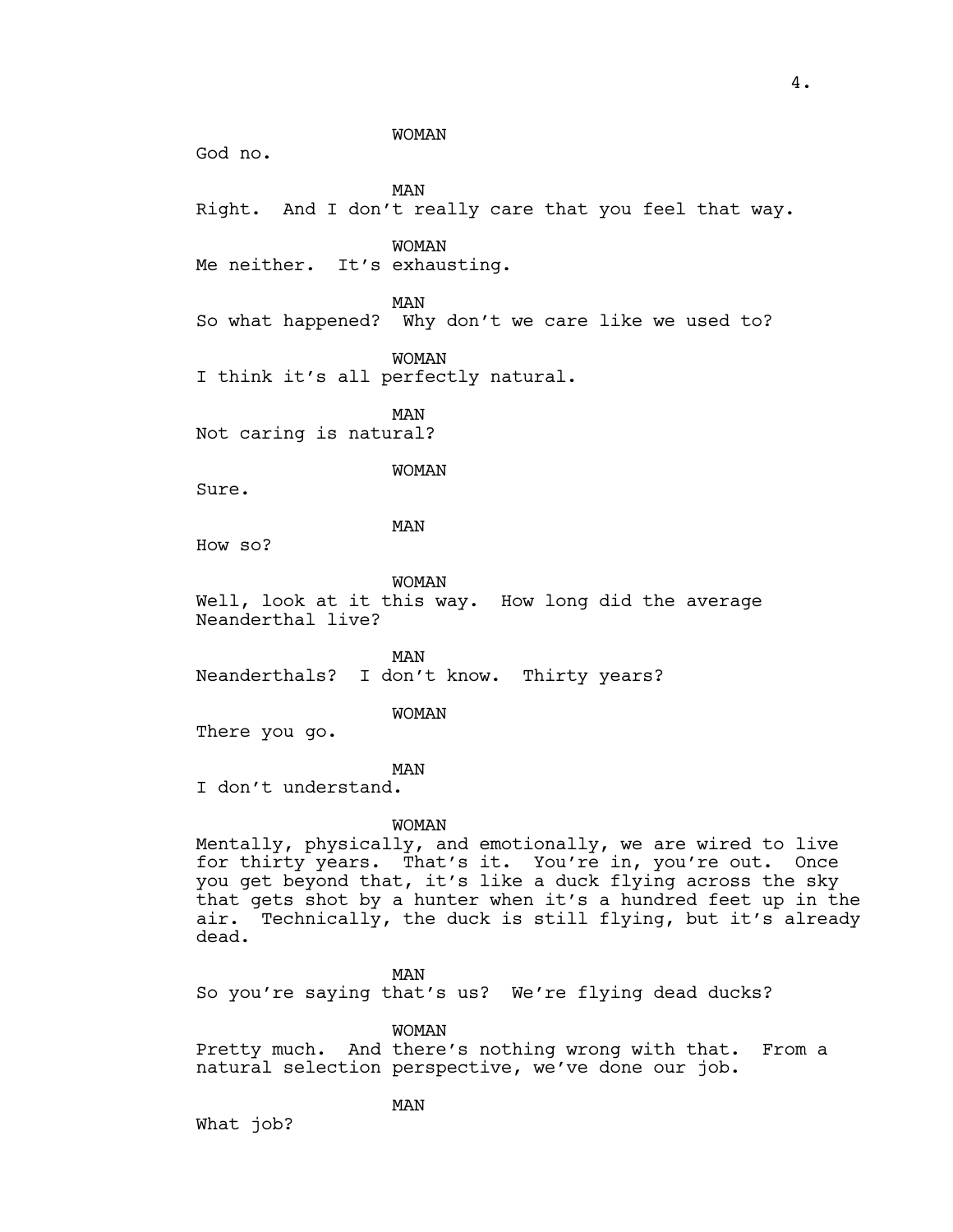WOMAN God no. MAN Right. And I don't really care that you feel that way. WOMAN Me neither. It's exhausting. MAN So what happened? Why don't we care like we used to? WOMAN I think it's all perfectly natural. MAN Not caring is natural? WOMAN Sure. MAN How so? WOMAN Well, look at it this way. How long did the average Neanderthal live? MAN Neanderthals? I don't know. Thirty years? WOMAN There you go. MAN I don't understand. WOMAN Mentally, physically, and emotionally, we are wired to live for thirty years. That's it. You're in, you're out. Once you get beyond that, it's like a duck flying across the sky that gets shot by a hunter when it's a hundred feet up in the air. Technically, the duck is still flying, but it's already dead. MAN So you're saying that's us? We're flying dead ducks? WOMAN

Pretty much. And there's nothing wrong with that. From a natural selection perspective, we've done our job.

MAN

What job?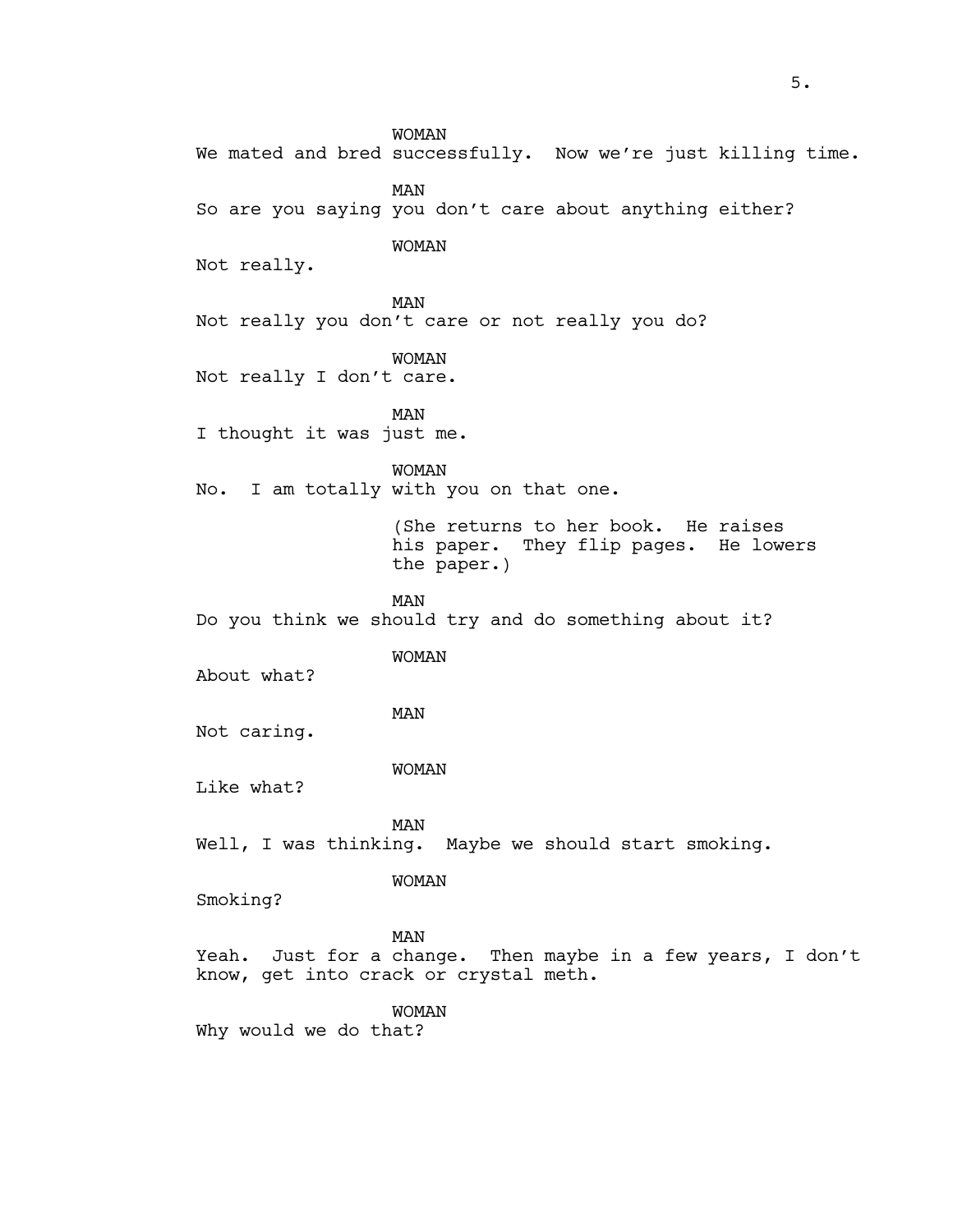WOMAN We mated and bred successfully. Now we're just killing time. MAN So are you saying you don't care about anything either? WOMAN Not really. MAN Not really you don't care or not really you do? WOMAN Not really I don't care. MAN I thought it was just me. WOMAN No. I am totally with you on that one. (She returns to her book. He raises his paper. They flip pages. He lowers the paper.) MAN Do you think we should try and do something about it? WOMAN About what? MAN Not caring. WOMAN Like what? MAN Well, I was thinking. Maybe we should start smoking. WOMAN Smoking? MAN Yeah. Just for a change. Then maybe in a few years, I don't know, get into crack or crystal meth. WOMAN Why would we do that?

5.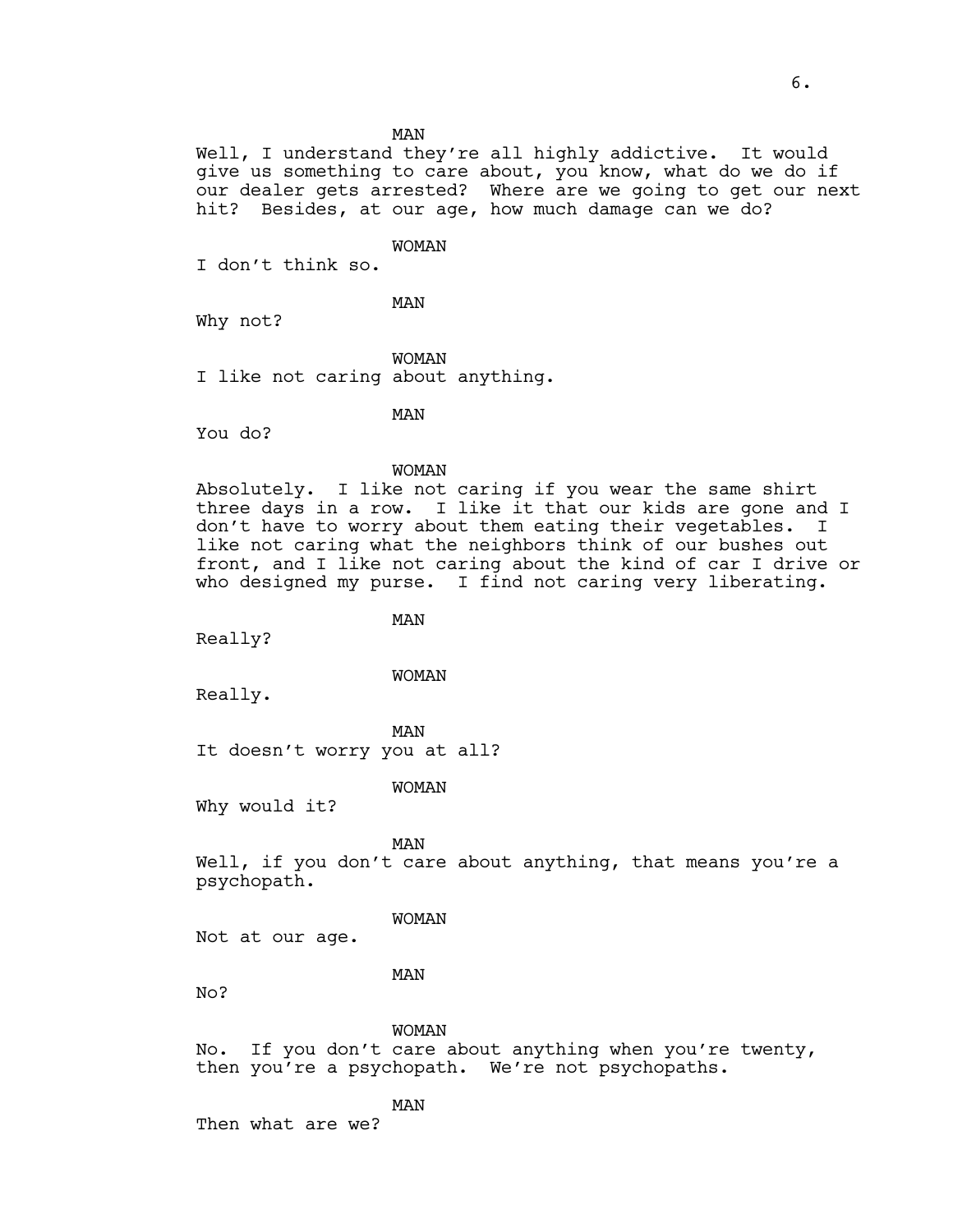MAN

Well, I understand they're all highly addictive. It would give us something to care about, you know, what do we do if our dealer gets arrested? Where are we going to get our next hit? Besides, at our age, how much damage can we do?

# WOMAN

I don't think so.

MAN

Why not?

WOMAN I like not caring about anything.

MAN

You do?

# WOMAN

Absolutely. I like not caring if you wear the same shirt three days in a row. I like it that our kids are gone and I don't have to worry about them eating their vegetables. I like not caring what the neighbors think of our bushes out front, and I like not caring about the kind of car I drive or who designed my purse. I find not caring very liberating.

MAN

Really?

### WOMAN

Really.

MAN

It doesn't worry you at all?

# WOMAN

Why would it?

MAN

Well, if you don't care about anything, that means you're a psychopath.

#### WOMAN

Not at our age.

# MAN

No?

WOMAN

No. If you don't care about anything when you're twenty, then you're a psychopath. We're not psychopaths.

#### MAN

Then what are we?